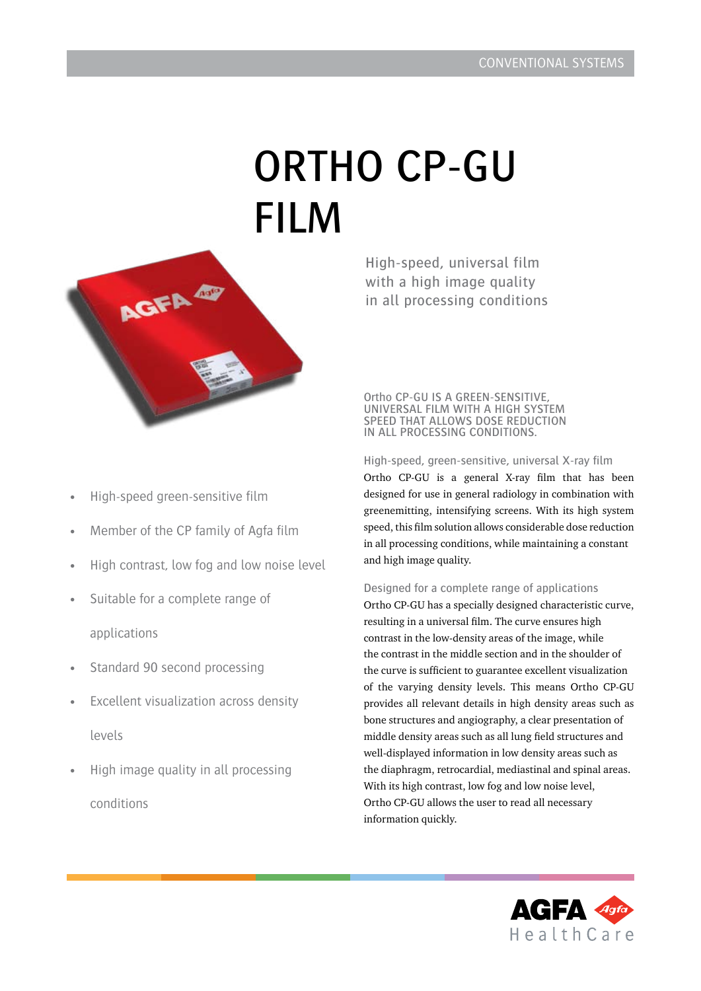# ORTHO CP-GU FILM



High-speed green-sensitive film

- Member of the CP family of Agfa film
- High contrast, low fog and low noise level
- Suitable for a complete range of applications
- Standard 90 second processing
- Excellent visualization across density levels
- High image quality in all processing conditions

High-speed, universal film with a high image quality in all processing conditions

# Ortho CP-GU IS A GREEN-SENSITIVE, UNIVERSAL FILM WITH A HIGH SYSTEM SPEED THAT ALLOWS DOSE REDUCTION IN ALL PROCESSING CONDITIONS.

High-speed, green-sensitive, universal X-ray film Ortho CP-GU is a general X-ray film that has been designed for use in general radiology in combination with greenemitting, intensifying screens. With its high system speed, this film solution allows considerable dose reduction in all processing conditions, while maintaining a constant and high image quality.

Designed for a complete range of applications

Ortho CP-GU has a specially designed characteristic curve, resulting in a universal film. The curve ensures high contrast in the low-density areas of the image, while the contrast in the middle section and in the shoulder of the curve is sufficient to guarantee excellent visualization of the varying density levels. This means Ortho CP-GU provides all relevant details in high density areas such as bone structures and angiography, a clear presentation of middle density areas such as all lung field structures and well-displayed information in low density areas such as the diaphragm, retrocardial, mediastinal and spinal areas. With its high contrast, low fog and low noise level, Ortho CP-GU allows the user to read all necessary information quickly.